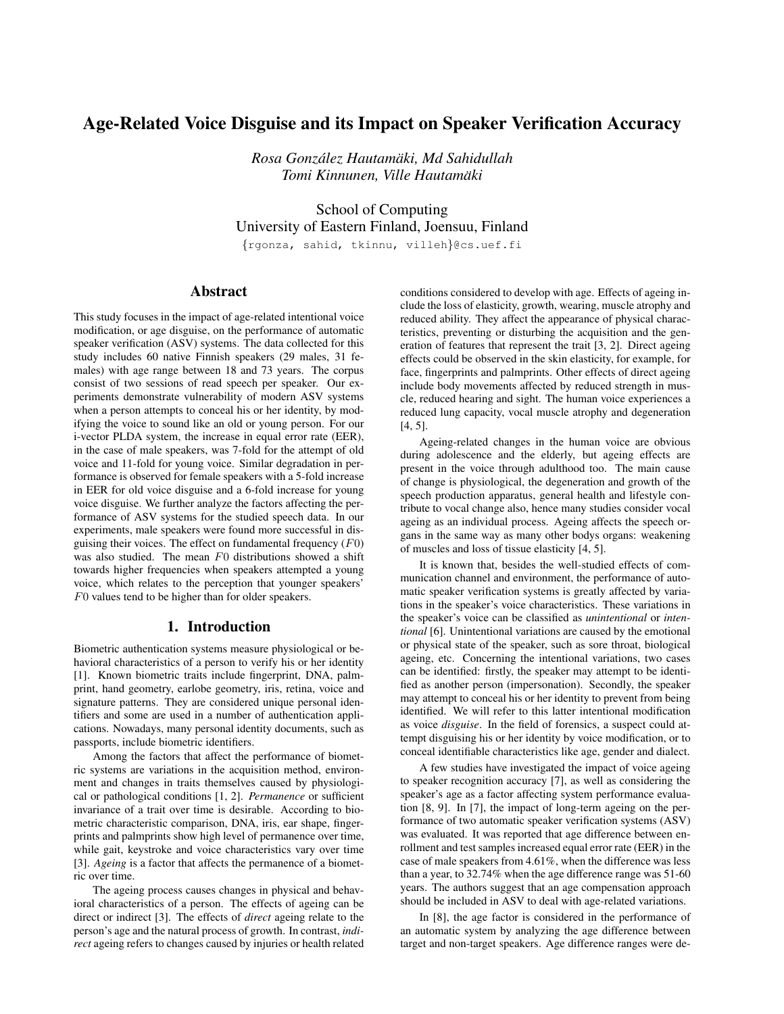# Age-Related Voice Disguise and its Impact on Speaker Verification Accuracy

*Rosa Gonzalez Hautam ´ aki, Md Sahidullah ¨ Tomi Kinnunen, Ville Hautamaki ¨*

School of Computing University of Eastern Finland, Joensuu, Finland

{rgonza, sahid, tkinnu, villeh}@cs.uef.fi

## Abstract

This study focuses in the impact of age-related intentional voice modification, or age disguise, on the performance of automatic speaker verification (ASV) systems. The data collected for this study includes 60 native Finnish speakers (29 males, 31 females) with age range between 18 and 73 years. The corpus consist of two sessions of read speech per speaker. Our experiments demonstrate vulnerability of modern ASV systems when a person attempts to conceal his or her identity, by modifying the voice to sound like an old or young person. For our i-vector PLDA system, the increase in equal error rate (EER), in the case of male speakers, was 7-fold for the attempt of old voice and 11-fold for young voice. Similar degradation in performance is observed for female speakers with a 5-fold increase in EER for old voice disguise and a 6-fold increase for young voice disguise. We further analyze the factors affecting the performance of ASV systems for the studied speech data. In our experiments, male speakers were found more successful in disguising their voices. The effect on fundamental frequency  $(F0)$ was also studied. The mean F0 distributions showed a shift towards higher frequencies when speakers attempted a young voice, which relates to the perception that younger speakers' F0 values tend to be higher than for older speakers.

## 1. Introduction

Biometric authentication systems measure physiological or behavioral characteristics of a person to verify his or her identity [1]. Known biometric traits include fingerprint, DNA, palmprint, hand geometry, earlobe geometry, iris, retina, voice and signature patterns. They are considered unique personal identifiers and some are used in a number of authentication applications. Nowadays, many personal identity documents, such as passports, include biometric identifiers.

Among the factors that affect the performance of biometric systems are variations in the acquisition method, environment and changes in traits themselves caused by physiological or pathological conditions [1, 2]. *Permanence* or sufficient invariance of a trait over time is desirable. According to biometric characteristic comparison, DNA, iris, ear shape, fingerprints and palmprints show high level of permanence over time, while gait, keystroke and voice characteristics vary over time [3]. *Ageing* is a factor that affects the permanence of a biometric over time.

The ageing process causes changes in physical and behavioral characteristics of a person. The effects of ageing can be direct or indirect [3]. The effects of *direct* ageing relate to the person's age and the natural process of growth. In contrast, *indirect* ageing refers to changes caused by injuries or health related conditions considered to develop with age. Effects of ageing include the loss of elasticity, growth, wearing, muscle atrophy and reduced ability. They affect the appearance of physical characteristics, preventing or disturbing the acquisition and the generation of features that represent the trait [3, 2]. Direct ageing effects could be observed in the skin elasticity, for example, for face, fingerprints and palmprints. Other effects of direct ageing include body movements affected by reduced strength in muscle, reduced hearing and sight. The human voice experiences a reduced lung capacity, vocal muscle atrophy and degeneration [4, 5].

Ageing-related changes in the human voice are obvious during adolescence and the elderly, but ageing effects are present in the voice through adulthood too. The main cause of change is physiological, the degeneration and growth of the speech production apparatus, general health and lifestyle contribute to vocal change also, hence many studies consider vocal ageing as an individual process. Ageing affects the speech organs in the same way as many other bodys organs: weakening of muscles and loss of tissue elasticity [4, 5].

It is known that, besides the well-studied effects of communication channel and environment, the performance of automatic speaker verification systems is greatly affected by variations in the speaker's voice characteristics. These variations in the speaker's voice can be classified as *unintentional* or *intentional* [6]. Unintentional variations are caused by the emotional or physical state of the speaker, such as sore throat, biological ageing, etc. Concerning the intentional variations, two cases can be identified: firstly, the speaker may attempt to be identified as another person (impersonation). Secondly, the speaker may attempt to conceal his or her identity to prevent from being identified. We will refer to this latter intentional modification as voice *disguise*. In the field of forensics, a suspect could attempt disguising his or her identity by voice modification, or to conceal identifiable characteristics like age, gender and dialect.

A few studies have investigated the impact of voice ageing to speaker recognition accuracy [7], as well as considering the speaker's age as a factor affecting system performance evaluation [8, 9]. In [7], the impact of long-term ageing on the performance of two automatic speaker verification systems (ASV) was evaluated. It was reported that age difference between enrollment and test samples increased equal error rate (EER) in the case of male speakers from 4.61%, when the difference was less than a year, to 32.74% when the age difference range was 51-60 years. The authors suggest that an age compensation approach should be included in ASV to deal with age-related variations.

In [8], the age factor is considered in the performance of an automatic system by analyzing the age difference between target and non-target speakers. Age difference ranges were de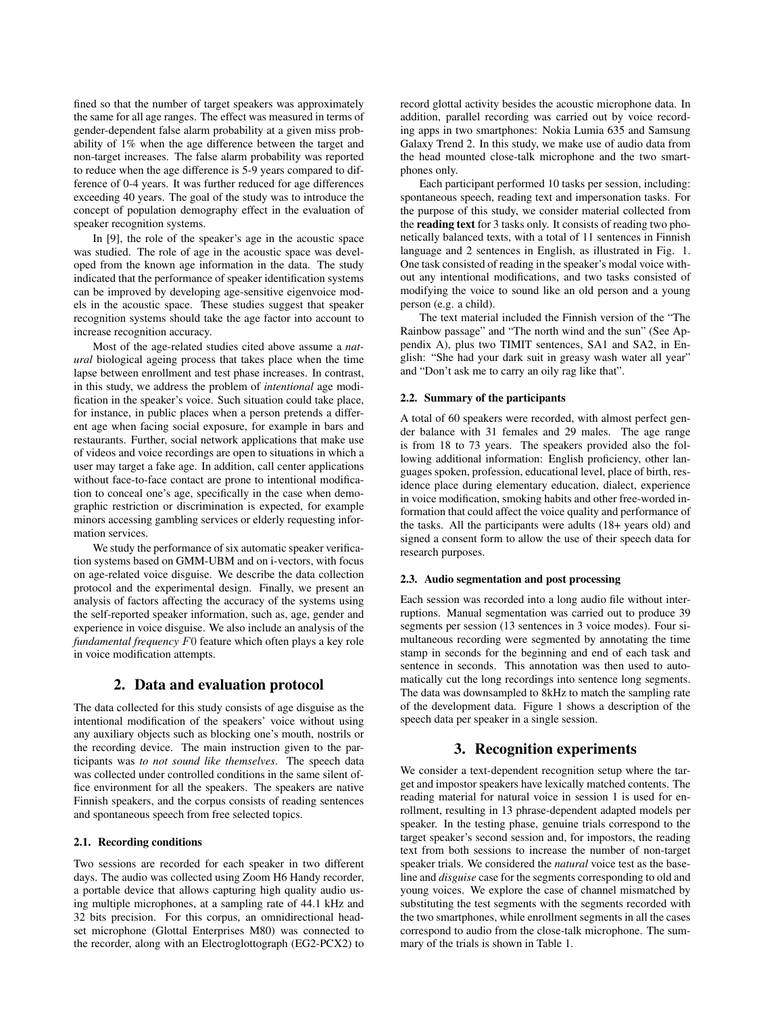fined so that the number of target speakers was approximately the same for all age ranges. The effect was measured in terms of gender-dependent false alarm probability at a given miss probability of 1% when the age difference between the target and non-target increases. The false alarm probability was reported to reduce when the age difference is 5-9 years compared to difference of 0-4 years. It was further reduced for age differences exceeding 40 years. The goal of the study was to introduce the concept of population demography effect in the evaluation of speaker recognition systems.

In [9], the role of the speaker's age in the acoustic space was studied. The role of age in the acoustic space was developed from the known age information in the data. The study indicated that the performance of speaker identification systems can be improved by developing age-sensitive eigenvoice models in the acoustic space. These studies suggest that speaker recognition systems should take the age factor into account to increase recognition accuracy.

Most of the age-related studies cited above assume a *natural* biological ageing process that takes place when the time lapse between enrollment and test phase increases. In contrast, in this study, we address the problem of *intentional* age modification in the speaker's voice. Such situation could take place, for instance, in public places when a person pretends a different age when facing social exposure, for example in bars and restaurants. Further, social network applications that make use of videos and voice recordings are open to situations in which a user may target a fake age. In addition, call center applications without face-to-face contact are prone to intentional modification to conceal one's age, specifically in the case when demographic restriction or discrimination is expected, for example minors accessing gambling services or elderly requesting information services.

We study the performance of six automatic speaker verification systems based on GMM-UBM and on i-vectors, with focus on age-related voice disguise. We describe the data collection protocol and the experimental design. Finally, we present an analysis of factors affecting the accuracy of the systems using the self-reported speaker information, such as, age, gender and experience in voice disguise. We also include an analysis of the *fundamental frequency* F0 feature which often plays a key role in voice modification attempts.

## 2. Data and evaluation protocol

The data collected for this study consists of age disguise as the intentional modification of the speakers' voice without using any auxiliary objects such as blocking one's mouth, nostrils or the recording device. The main instruction given to the participants was *to not sound like themselves*. The speech data was collected under controlled conditions in the same silent office environment for all the speakers. The speakers are native Finnish speakers, and the corpus consists of reading sentences and spontaneous speech from free selected topics.

### 2.1. Recording conditions

Two sessions are recorded for each speaker in two different days. The audio was collected using Zoom H6 Handy recorder, a portable device that allows capturing high quality audio using multiple microphones, at a sampling rate of 44.1 kHz and 32 bits precision. For this corpus, an omnidirectional headset microphone (Glottal Enterprises M80) was connected to the recorder, along with an Electroglottograph (EG2-PCX2) to record glottal activity besides the acoustic microphone data. In addition, parallel recording was carried out by voice recording apps in two smartphones: Nokia Lumia 635 and Samsung Galaxy Trend 2. In this study, we make use of audio data from the head mounted close-talk microphone and the two smartphones only.

Each participant performed 10 tasks per session, including: spontaneous speech, reading text and impersonation tasks. For the purpose of this study, we consider material collected from the reading text for 3 tasks only. It consists of reading two phonetically balanced texts, with a total of 11 sentences in Finnish language and 2 sentences in English, as illustrated in Fig. 1. One task consisted of reading in the speaker's modal voice without any intentional modifications, and two tasks consisted of modifying the voice to sound like an old person and a young person (e.g. a child).

The text material included the Finnish version of the "The Rainbow passage" and "The north wind and the sun" (See Appendix A), plus two TIMIT sentences, SA1 and SA2, in English: "She had your dark suit in greasy wash water all year" and "Don't ask me to carry an oily rag like that".

#### 2.2. Summary of the participants

A total of 60 speakers were recorded, with almost perfect gender balance with 31 females and 29 males. The age range is from 18 to 73 years. The speakers provided also the following additional information: English proficiency, other languages spoken, profession, educational level, place of birth, residence place during elementary education, dialect, experience in voice modification, smoking habits and other free-worded information that could affect the voice quality and performance of the tasks. All the participants were adults (18+ years old) and signed a consent form to allow the use of their speech data for research purposes.

#### 2.3. Audio segmentation and post processing

Each session was recorded into a long audio file without interruptions. Manual segmentation was carried out to produce 39 segments per session (13 sentences in 3 voice modes). Four simultaneous recording were segmented by annotating the time stamp in seconds for the beginning and end of each task and sentence in seconds. This annotation was then used to automatically cut the long recordings into sentence long segments. The data was downsampled to 8kHz to match the sampling rate of the development data. Figure 1 shows a description of the speech data per speaker in a single session.

### 3. Recognition experiments

We consider a text-dependent recognition setup where the target and impostor speakers have lexically matched contents. The reading material for natural voice in session 1 is used for enrollment, resulting in 13 phrase-dependent adapted models per speaker. In the testing phase, genuine trials correspond to the target speaker's second session and, for impostors, the reading text from both sessions to increase the number of non-target speaker trials. We considered the *natural* voice test as the baseline and *disguise* case for the segments corresponding to old and young voices. We explore the case of channel mismatched by substituting the test segments with the segments recorded with the two smartphones, while enrollment segments in all the cases correspond to audio from the close-talk microphone. The summary of the trials is shown in Table 1.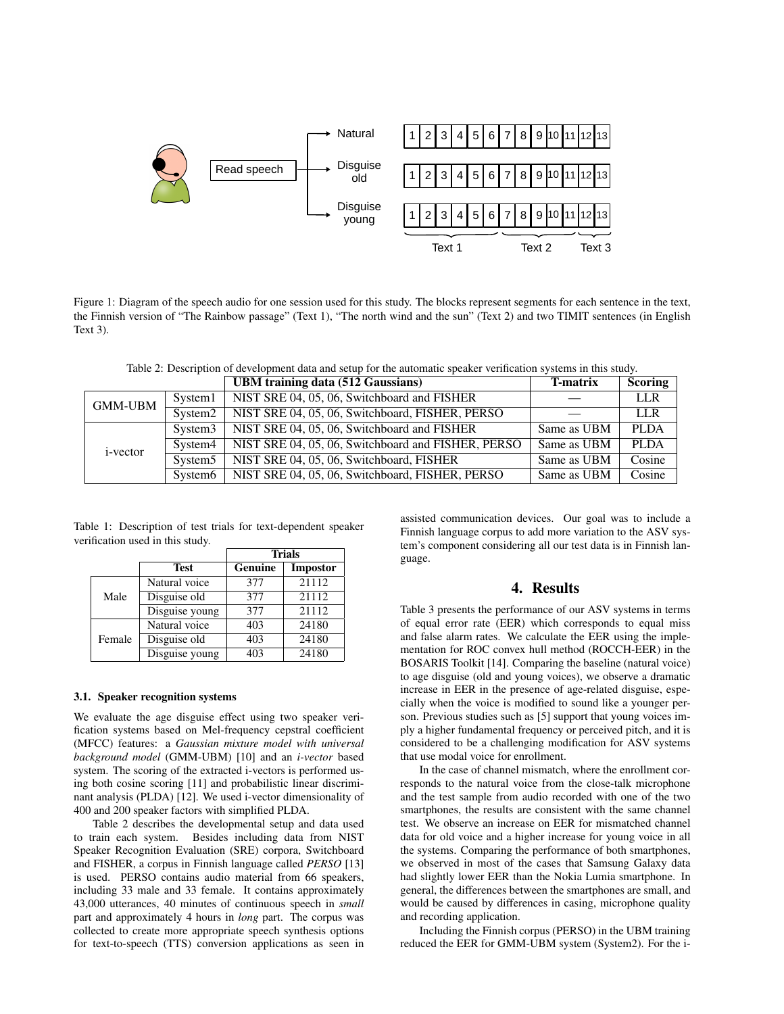

Figure 1: Diagram of the speech audio for one session used for this study. The blocks represent segments for each sentence in the text, the Finnish version of "The Rainbow passage" (Text 1), "The north wind and the sun" (Text 2) and two TIMIT sentences (in English Text 3).

Table 2: Description of development data and setup for the automatic speaker verification systems in this study.

|                  |                     | <b>UBM</b> training data (512 Gaussians)           | <b>T-matrix</b> | <b>Scoring</b> |
|------------------|---------------------|----------------------------------------------------|-----------------|----------------|
| <b>GMM-UBM</b>   | System1             | NIST SRE 04, 05, 06, Switchboard and FISHER        |                 | <b>LLR</b>     |
|                  | System <sub>2</sub> | NIST SRE 04, 05, 06, Switchboard, FISHER, PERSO    |                 | LLR.           |
| <i>i</i> -vector | System <sub>3</sub> | NIST SRE 04, 05, 06, Switchboard and FISHER        | Same as UBM     | <b>PLDA</b>    |
|                  | System4             | NIST SRE 04, 05, 06, Switchboard and FISHER, PERSO | Same as UBM     | PLDA           |
|                  | System <sub>5</sub> | NIST SRE 04, 05, 06, Switchboard, FISHER           | Same as UBM     | Cosine         |
|                  | System <sub>6</sub> | NIST SRE 04, 05, 06, Switchboard, FISHER, PERSO    | Same as UBM     | Cosine         |

Table 1: Description of test trials for text-dependent speaker verification used in this study.

|        |                | <b>Trials</b> |                 |  |
|--------|----------------|---------------|-----------------|--|
|        | Test           | Genuine       | <b>Impostor</b> |  |
|        | Natural voice  | 377           | 21112           |  |
| Male   | Disguise old   | 377           | 21112           |  |
|        | Disguise young | 377           | 21112           |  |
|        | Natural voice  | 403           | 24180           |  |
| Female | Disguise old   | 403           | 24180           |  |
|        | Disguise young | 403           | 24180           |  |

### 3.1. Speaker recognition systems

We evaluate the age disguise effect using two speaker verification systems based on Mel-frequency cepstral coefficient (MFCC) features: a *Gaussian mixture model with universal background model* (GMM-UBM) [10] and an *i-vector* based system. The scoring of the extracted i-vectors is performed using both cosine scoring [11] and probabilistic linear discriminant analysis (PLDA) [12]. We used i-vector dimensionality of 400 and 200 speaker factors with simplified PLDA.

Table 2 describes the developmental setup and data used to train each system. Besides including data from NIST Speaker Recognition Evaluation (SRE) corpora, Switchboard and FISHER, a corpus in Finnish language called *PERSO* [13] is used. PERSO contains audio material from 66 speakers, including 33 male and 33 female. It contains approximately 43,000 utterances, 40 minutes of continuous speech in *small* part and approximately 4 hours in *long* part. The corpus was collected to create more appropriate speech synthesis options for text-to-speech (TTS) conversion applications as seen in assisted communication devices. Our goal was to include a Finnish language corpus to add more variation to the ASV system's component considering all our test data is in Finnish language.

### 4. Results

Table 3 presents the performance of our ASV systems in terms of equal error rate (EER) which corresponds to equal miss and false alarm rates. We calculate the EER using the implementation for ROC convex hull method (ROCCH-EER) in the BOSARIS Toolkit [14]. Comparing the baseline (natural voice) to age disguise (old and young voices), we observe a dramatic increase in EER in the presence of age-related disguise, especially when the voice is modified to sound like a younger person. Previous studies such as [5] support that young voices imply a higher fundamental frequency or perceived pitch, and it is considered to be a challenging modification for ASV systems that use modal voice for enrollment.

In the case of channel mismatch, where the enrollment corresponds to the natural voice from the close-talk microphone and the test sample from audio recorded with one of the two smartphones, the results are consistent with the same channel test. We observe an increase on EER for mismatched channel data for old voice and a higher increase for young voice in all the systems. Comparing the performance of both smartphones, we observed in most of the cases that Samsung Galaxy data had slightly lower EER than the Nokia Lumia smartphone. In general, the differences between the smartphones are small, and would be caused by differences in casing, microphone quality and recording application.

Including the Finnish corpus (PERSO) in the UBM training reduced the EER for GMM-UBM system (System2). For the i-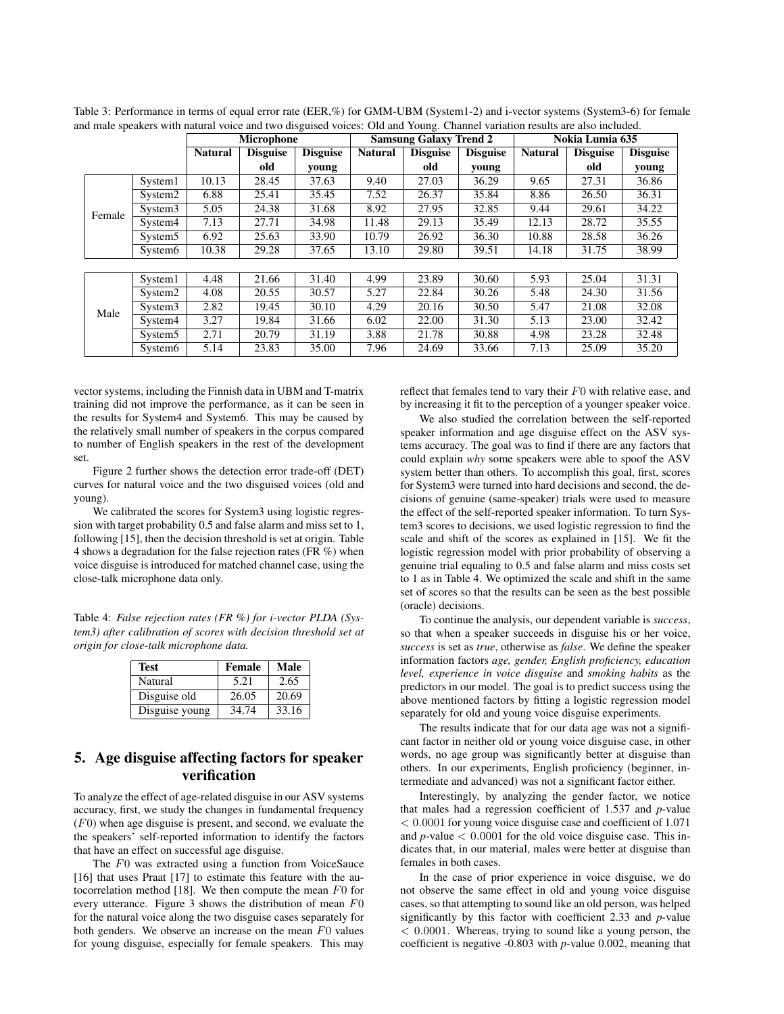|        |                     | <b>Microphone</b> |                 | <b>Samsung Galaxy Trend 2</b> |                | Nokia Lumia 635 |                 |                |                 |                 |
|--------|---------------------|-------------------|-----------------|-------------------------------|----------------|-----------------|-----------------|----------------|-----------------|-----------------|
|        |                     | <b>Natural</b>    | <b>Disguise</b> | <b>Disguise</b>               | <b>Natural</b> | <b>Disguise</b> | <b>Disguise</b> | <b>Natural</b> | <b>Disguise</b> | <b>Disguise</b> |
|        |                     |                   | old             | young                         |                | old             | young           |                | old             | young           |
| Female | System1             | 10.13             | 28.45           | 37.63                         | 9.40           | 27.03           | 36.29           | 9.65           | 27.31           | 36.86           |
|        | System <sub>2</sub> | 6.88              | 25.41           | 35.45                         | 7.52           | 26.37           | 35.84           | 8.86           | 26.50           | 36.31           |
|        | System <sub>3</sub> | 5.05              | 24.38           | 31.68                         | 8.92           | 27.95           | 32.85           | 9.44           | 29.61           | 34.22           |
|        | System4             | 7.13              | 27.71           | 34.98                         | 11.48          | 29.13           | 35.49           | 12.13          | 28.72           | 35.55           |
|        | System <sub>5</sub> | 6.92              | 25.63           | 33.90                         | 10.79          | 26.92           | 36.30           | 10.88          | 28.58           | 36.26           |
|        | System <sub>6</sub> | 10.38             | 29.28           | 37.65                         | 13.10          | 29.80           | 39.51           | 14.18          | 31.75           | 38.99           |
|        |                     |                   |                 |                               |                |                 |                 |                |                 |                 |
| Male   | System1             | 4.48              | 21.66           | 31.40                         | 4.99           | 23.89           | 30.60           | 5.93           | 25.04           | 31.31           |
|        | System <sub>2</sub> | 4.08              | 20.55           | 30.57                         | 5.27           | 22.84           | 30.26           | 5.48           | 24.30           | 31.56           |
|        | System <sub>3</sub> | 2.82              | 19.45           | 30.10                         | 4.29           | 20.16           | 30.50           | 5.47           | 21.08           | 32.08           |
|        | System4             | 3.27              | 19.84           | 31.66                         | 6.02           | 22.00           | 31.30           | 5.13           | 23.00           | 32.42           |
|        | System <sub>5</sub> | 2.71              | 20.79           | 31.19                         | 3.88           | 21.78           | 30.88           | 4.98           | 23.28           | 32.48           |
|        | System <sub>6</sub> | 5.14              | 23.83           | 35.00                         | 7.96           | 24.69           | 33.66           | 7.13           | 25.09           | 35.20           |

Table 3: Performance in terms of equal error rate (EER,%) for GMM-UBM (System1-2) and i-vector systems (System3-6) for female and male speakers with natural voice and two disguised voices: Old and Young. Channel variation results are also included.

vector systems, including the Finnish data in UBM and T-matrix training did not improve the performance, as it can be seen in the results for System4 and System6. This may be caused by the relatively small number of speakers in the corpus compared to number of English speakers in the rest of the development set.

Figure 2 further shows the detection error trade-off (DET) curves for natural voice and the two disguised voices (old and young).

We calibrated the scores for System3 using logistic regression with target probability 0.5 and false alarm and miss set to 1, following [15], then the decision threshold is set at origin. Table 4 shows a degradation for the false rejection rates (FR %) when voice disguise is introduced for matched channel case, using the close-talk microphone data only.

Table 4: *False rejection rates (FR %) for i-vector PLDA (System3) after calibration of scores with decision threshold set at origin for close-talk microphone data.*

| <b>Test</b>    | Female | Male  |
|----------------|--------|-------|
| Natural        | 5.21   | 2.65  |
| Disguise old   | 26.05  | 20.69 |
| Disguise young | 34.74  | 33.16 |

## 5. Age disguise affecting factors for speaker verification

To analyze the effect of age-related disguise in our ASV systems accuracy, first, we study the changes in fundamental frequency  $(F0)$  when age disguise is present, and second, we evaluate the the speakers' self-reported information to identify the factors that have an effect on successful age disguise.

The F0 was extracted using a function from VoiceSauce [16] that uses Praat [17] to estimate this feature with the autocorrelation method [18]. We then compute the mean  $F_0$  for every utterance. Figure 3 shows the distribution of mean F0 for the natural voice along the two disguise cases separately for both genders. We observe an increase on the mean  $F0$  values for young disguise, especially for female speakers. This may reflect that females tend to vary their  $F0$  with relative ease, and by increasing it fit to the perception of a younger speaker voice.

We also studied the correlation between the self-reported speaker information and age disguise effect on the ASV systems accuracy. The goal was to find if there are any factors that could explain *why* some speakers were able to spoof the ASV system better than others. To accomplish this goal, first, scores for System3 were turned into hard decisions and second, the decisions of genuine (same-speaker) trials were used to measure the effect of the self-reported speaker information. To turn System3 scores to decisions, we used logistic regression to find the scale and shift of the scores as explained in [15]. We fit the logistic regression model with prior probability of observing a genuine trial equaling to 0.5 and false alarm and miss costs set to 1 as in Table 4. We optimized the scale and shift in the same set of scores so that the results can be seen as the best possible (oracle) decisions.

To continue the analysis, our dependent variable is *success*, so that when a speaker succeeds in disguise his or her voice, *success* is set as *true*, otherwise as *false*. We define the speaker information factors *age, gender, English proficiency, education level, experience in voice disguise* and *smoking habits* as the predictors in our model. The goal is to predict success using the above mentioned factors by fitting a logistic regression model separately for old and young voice disguise experiments.

The results indicate that for our data age was not a significant factor in neither old or young voice disguise case, in other words, no age group was significantly better at disguise than others. In our experiments, English proficiency (beginner, intermediate and advanced) was not a significant factor either.

Interestingly, by analyzing the gender factor, we notice that males had a regression coefficient of 1.537 and *p*-value < 0.0001 for young voice disguise case and coefficient of 1.071 and  $p$ -value  $\lt$  0.0001 for the old voice disguise case. This indicates that, in our material, males were better at disguise than females in both cases.

In the case of prior experience in voice disguise, we do not observe the same effect in old and young voice disguise cases, so that attempting to sound like an old person, was helped significantly by this factor with coefficient 2.33 and *p*-value < 0.0001. Whereas, trying to sound like a young person, the coefficient is negative -0.803 with *p*-value 0.002, meaning that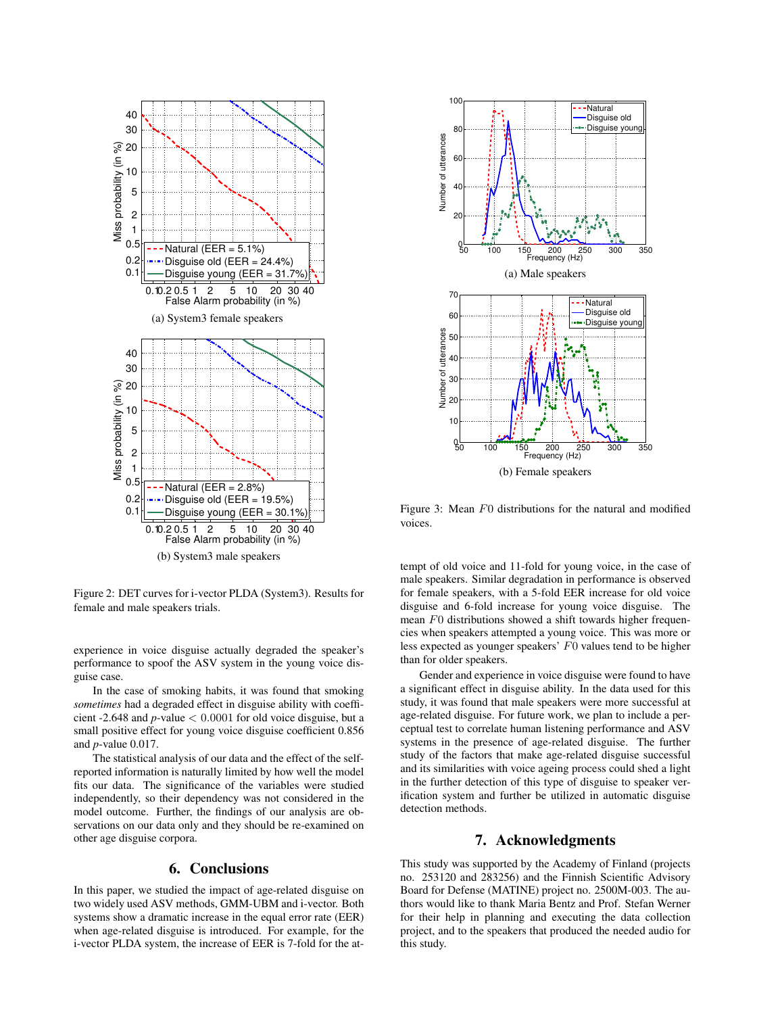

Figure 2: DET curves for i-vector PLDA (System3). Results for female and male speakers trials.

experience in voice disguise actually degraded the speaker's performance to spoof the ASV system in the young voice disguise case.

In the case of smoking habits, it was found that smoking *sometimes* had a degraded effect in disguise ability with coefficient -2.648 and *p*-value < 0.0001 for old voice disguise, but a small positive effect for young voice disguise coefficient 0.856 and *p*-value 0.017.

The statistical analysis of our data and the effect of the selfreported information is naturally limited by how well the model fits our data. The significance of the variables were studied independently, so their dependency was not considered in the model outcome. Further, the findings of our analysis are observations on our data only and they should be re-examined on other age disguise corpora.

### 6. Conclusions

In this paper, we studied the impact of age-related disguise on two widely used ASV methods, GMM-UBM and i-vector. Both systems show a dramatic increase in the equal error rate (EER) when age-related disguise is introduced. For example, for the i-vector PLDA system, the increase of EER is 7-fold for the at-



Figure 3: Mean F0 distributions for the natural and modified voices.

tempt of old voice and 11-fold for young voice, in the case of male speakers. Similar degradation in performance is observed for female speakers, with a 5-fold EER increase for old voice disguise and 6-fold increase for young voice disguise. The mean F0 distributions showed a shift towards higher frequencies when speakers attempted a young voice. This was more or less expected as younger speakers' F0 values tend to be higher than for older speakers.

Gender and experience in voice disguise were found to have a significant effect in disguise ability. In the data used for this study, it was found that male speakers were more successful at age-related disguise. For future work, we plan to include a perceptual test to correlate human listening performance and ASV systems in the presence of age-related disguise. The further study of the factors that make age-related disguise successful and its similarities with voice ageing process could shed a light in the further detection of this type of disguise to speaker verification system and further be utilized in automatic disguise detection methods.

## 7. Acknowledgments

This study was supported by the Academy of Finland (projects no. 253120 and 283256) and the Finnish Scientific Advisory Board for Defense (MATINE) project no. 2500M-003. The authors would like to thank Maria Bentz and Prof. Stefan Werner for their help in planning and executing the data collection project, and to the speakers that produced the needed audio for this study.